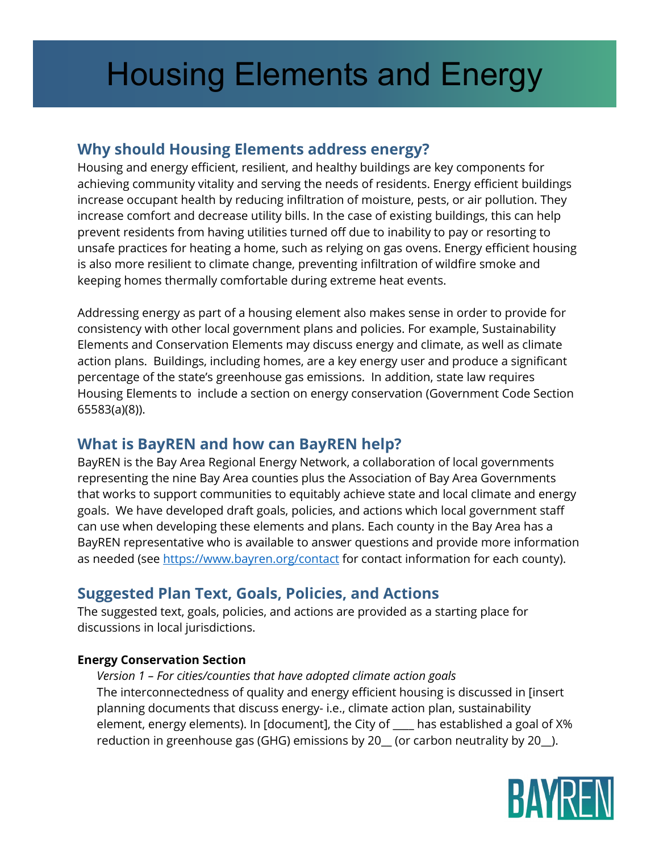# Housing Elements and Energy

# **Why should Housing Elements address energy?**

Housing and energy efficient, resilient, and healthy buildings are key components for achieving community vitality and serving the needs of residents. Energy efficient buildings increase occupant health by reducing infiltration of moisture, pests, or air pollution. They increase comfort and decrease utility bills. In the case of existing buildings, this can help prevent residents from having utilities turned off due to inability to pay or resorting to unsafe practices for heating a home, such as relying on gas ovens. Energy efficient housing is also more resilient to climate change, preventing infiltration of wildfire smoke and keeping homes thermally comfortable during extreme heat events.

Addressing energy as part of a housing element also makes sense in order to provide for consistency with other local government plans and policies. For example, Sustainability Elements and Conservation Elements may discuss energy and climate, as well as climate action plans. Buildings, including homes, are a key energy user and produce a significant percentage of the state's greenhouse gas emissions. In addition, state law requires Housing Elements to include a section on energy conservation (Government Code Section 65583(a)(8)).

# **What is BayREN and how can BayREN help?**

BayREN is the Bay Area Regional Energy Network, a collaboration of local governments representing the nine Bay Area counties plus the Association of Bay Area Governments that works to support communities to equitably achieve state and local climate and energy goals. We have developed draft goals, policies, and actions which local government staff can use when developing these elements and plans. Each county in the Bay Area has a BayREN representative who is available to answer questions and provide more information as needed (see<https://www.bayren.org/contact> for contact information for each county).

# **Suggested Plan Text, Goals, Policies, and Actions**

The suggested text, goals, policies, and actions are provided as a starting place for discussions in local jurisdictions.

## **Energy Conservation Section**

*Version 1 – For cities/counties that have adopted climate action goals* The interconnectedness of quality and energy efficient housing is discussed in [insert planning documents that discuss energy- i.e., climate action plan, sustainability element, energy elements). In [document], the City of \_\_\_\_ has established a goal of X% reduction in greenhouse gas (GHG) emissions by 20\_ (or carbon neutrality by 20\_).

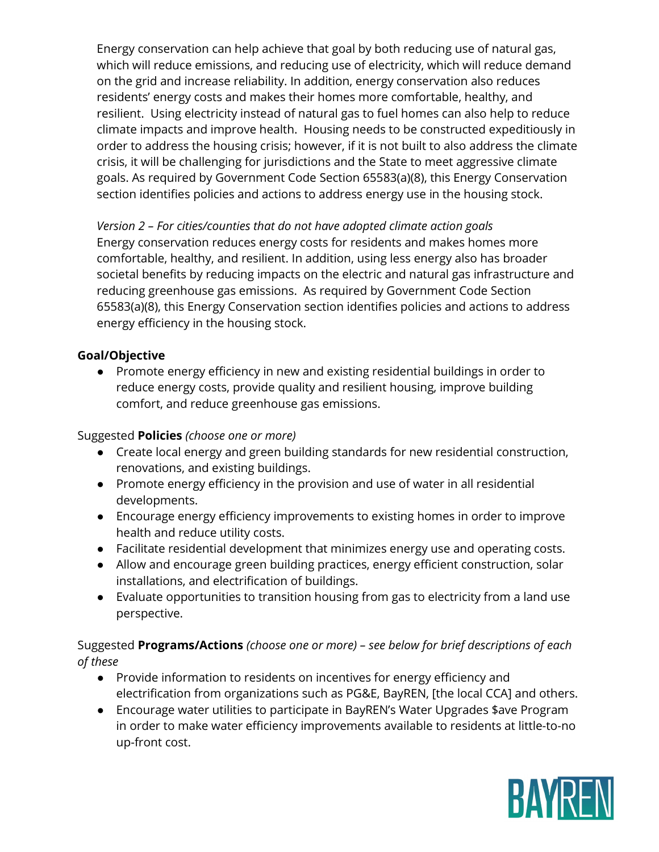Energy conservation can help achieve that goal by both reducing use of natural gas, which will reduce emissions, and reducing use of electricity, which will reduce demand on the grid and increase reliability. In addition, energy conservation also reduces residents' energy costs and makes their homes more comfortable, healthy, and resilient. Using electricity instead of natural gas to fuel homes can also help to reduce climate impacts and improve health. Housing needs to be constructed expeditiously in order to address the housing crisis; however, if it is not built to also address the climate crisis, it will be challenging for jurisdictions and the State to meet aggressive climate goals. As required by Government Code Section 65583(a)(8), this Energy Conservation section identifies policies and actions to address energy use in the housing stock.

*Version 2 – For cities/counties that do not have adopted climate action goals* Energy conservation reduces energy costs for residents and makes homes more comfortable, healthy, and resilient. In addition, using less energy also has broader societal benefits by reducing impacts on the electric and natural gas infrastructure and reducing greenhouse gas emissions. As required by Government Code Section 65583(a)(8), this Energy Conservation section identifies policies and actions to address energy efficiency in the housing stock.

### **Goal/Objective**

● Promote energy efficiency in new and existing residential buildings in order to reduce energy costs, provide quality and resilient housing, improve building comfort, and reduce greenhouse gas emissions.

### Suggested **Policies** *(choose one or more)*

- Create local energy and green building standards for new residential construction, renovations, and existing buildings.
- Promote energy efficiency in the provision and use of water in all residential developments.
- Encourage energy efficiency improvements to existing homes in order to improve health and reduce utility costs.
- Facilitate residential development that minimizes energy use and operating costs.
- Allow and encourage green building practices, energy efficient construction, solar installations, and electrification of buildings.
- Evaluate opportunities to transition housing from gas to electricity from a land use perspective.

## Suggested **Programs/Actions** *(choose one or more) – see below for brief descriptions of each of these*

- Provide information to residents on incentives for energy efficiency and electrification from organizations such as PG&E, BayREN, [the local CCA] and others.
- Encourage water utilities to participate in BayREN's Water Upgrades \$ave Program in order to make water efficiency improvements available to residents at little-to-no up-front cost.

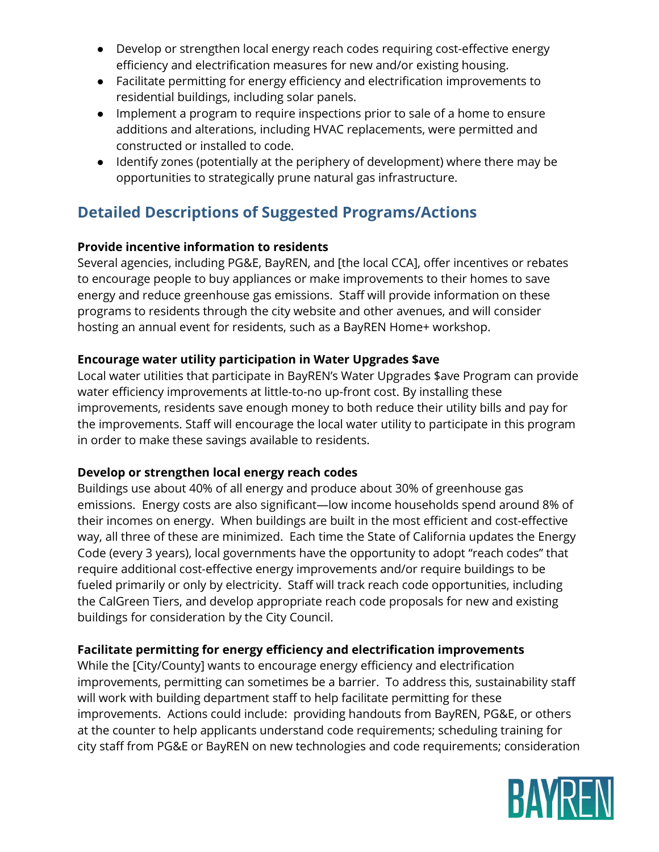- Develop or strengthen local energy reach codes requiring cost-effective energy efficiency and electrification measures for new and/or existing housing.
- Facilitate permitting for energy efficiency and electrification improvements to residential buildings, including solar panels.
- Implement a program to require inspections prior to sale of a home to ensure additions and alterations, including HVAC replacements, were permitted and constructed or installed to code.
- Identify zones (potentially at the periphery of development) where there may be opportunities to strategically prune natural gas infrastructure.

# **Detailed Descriptions of Suggested Programs/Actions**

## **Provide incentive information to residents**

Several agencies, including PG&E, BayREN, and [the local CCA], offer incentives or rebates to encourage people to buy appliances or make improvements to their homes to save energy and reduce greenhouse gas emissions. Staff will provide information on these programs to residents through the city website and other avenues, and will consider hosting an annual event for residents, such as a BayREN Home+ workshop.

## **Encourage water utility participation in Water Upgrades \$ave**

Local water utilities that participate in BayREN's Water Upgrades \$ave Program can provide water efficiency improvements at little-to-no up-front cost. By installing these improvements, residents save enough money to both reduce their utility bills and pay for the improvements. Staff will encourage the local water utility to participate in this program in order to make these savings available to residents.

### **Develop or strengthen local energy reach codes**

Buildings use about 40% of all energy and produce about 30% of greenhouse gas emissions. Energy costs are also significant—low income households spend around 8% of their incomes on energy. When buildings are built in the most efficient and cost-effective way, all three of these are minimized. Each time the State of California updates the Energy Code (every 3 years), local governments have the opportunity to adopt "reach codes" that require additional cost-effective energy improvements and/or require buildings to be fueled primarily or only by electricity. Staff will track reach code opportunities, including the CalGreen Tiers, and develop appropriate reach code proposals for new and existing buildings for consideration by the City Council.

## **Facilitate permitting for energy efficiency and electrification improvements**

While the [City/County] wants to encourage energy efficiency and electrification improvements, permitting can sometimes be a barrier. To address this, sustainability staff will work with building department staff to help facilitate permitting for these improvements. Actions could include: providing handouts from BayREN, PG&E, or others at the counter to help applicants understand code requirements; scheduling training for city staff from PG&E or BayREN on new technologies and code requirements; consideration